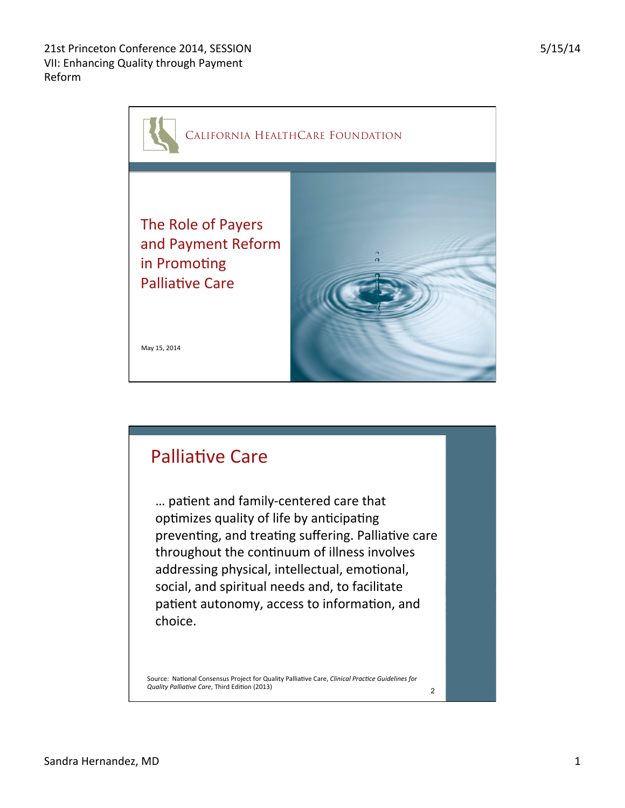

2

May 15, 2014 

in Promoting **Palliative Care** 

## **Palliative Care** ... patient and family-centered care that optimizes quality of life by anticipating preventing, and treating suffering. Palliative care throughout the continuum of illness involves addressing physical, intellectual, emotional, social, and spiritual needs and, to facilitate patient autonomy, access to information, and choice.

Source: National Consensus Project for Quality Palliative Care, *Clinical Practice Guidelines for Quality Palliative Care*, Third Edition (2013)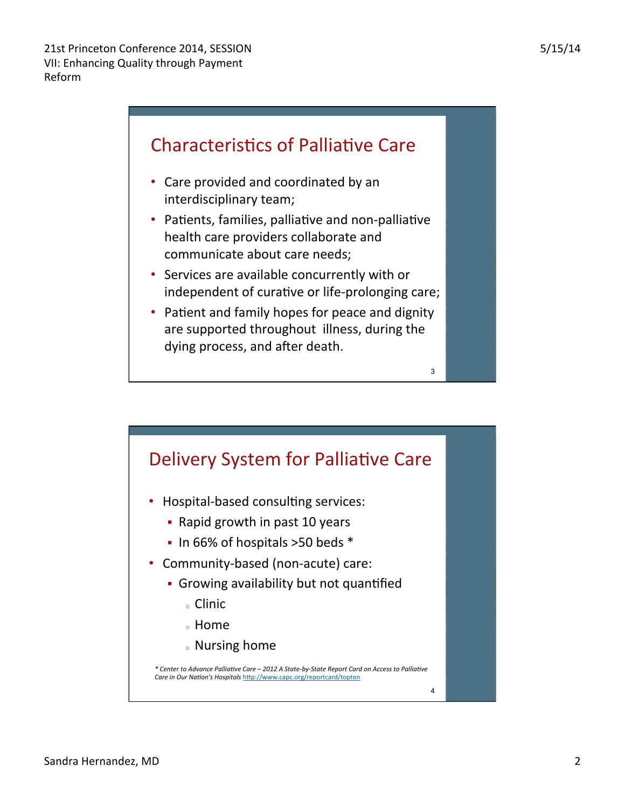

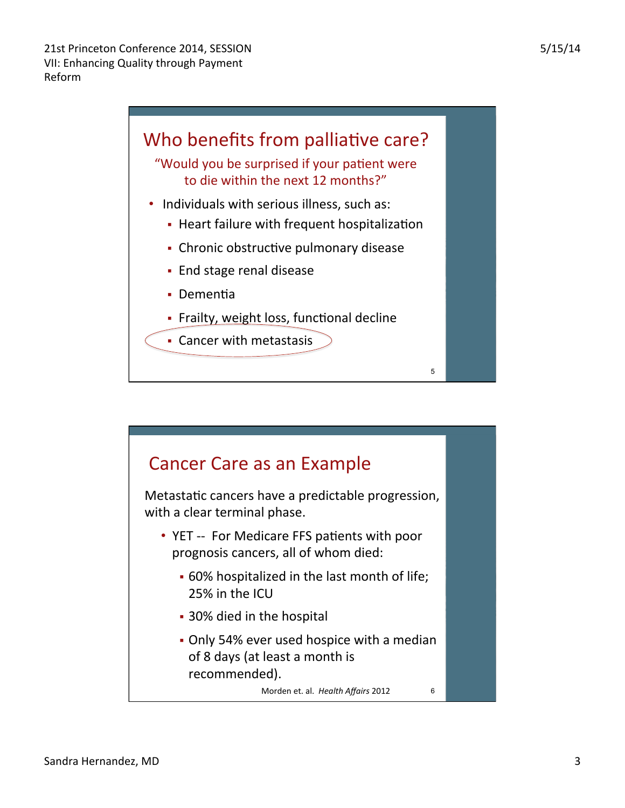

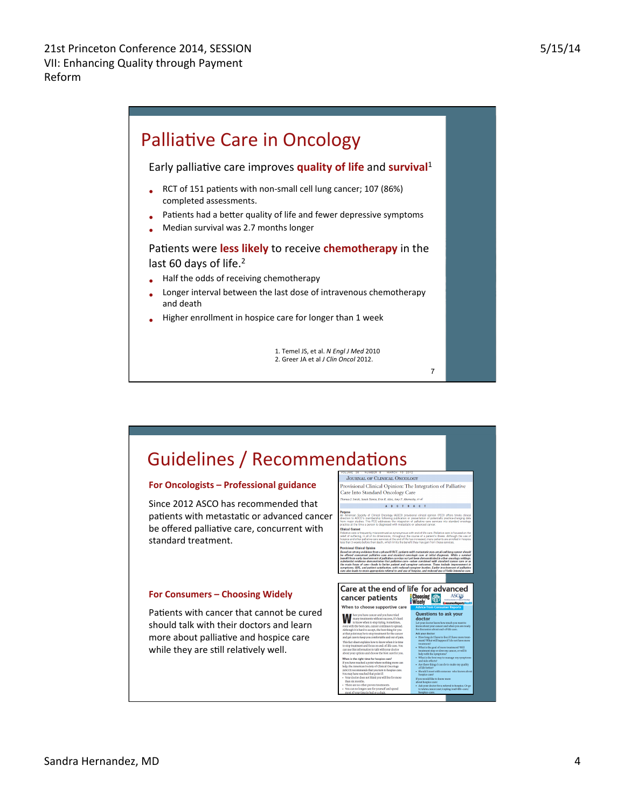

7

incer<br>are.

## Guidelines / Recommendations

## For Oncologists - Professional guidance

Since 2012 ASCO has recommended that patients with metastatic or advanced cancer be offered palliative care, concurrent with standard treatment.

## **For Consumers - Choosing Widely**

Patients with cancer that cannot be cured should talk with their doctors and learn more about palliative and hospice care while they are still relatively well.

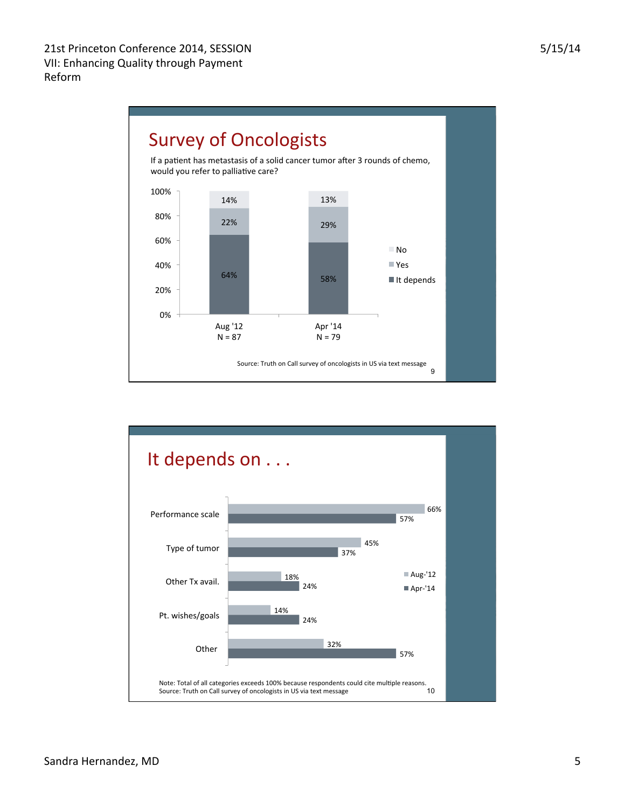

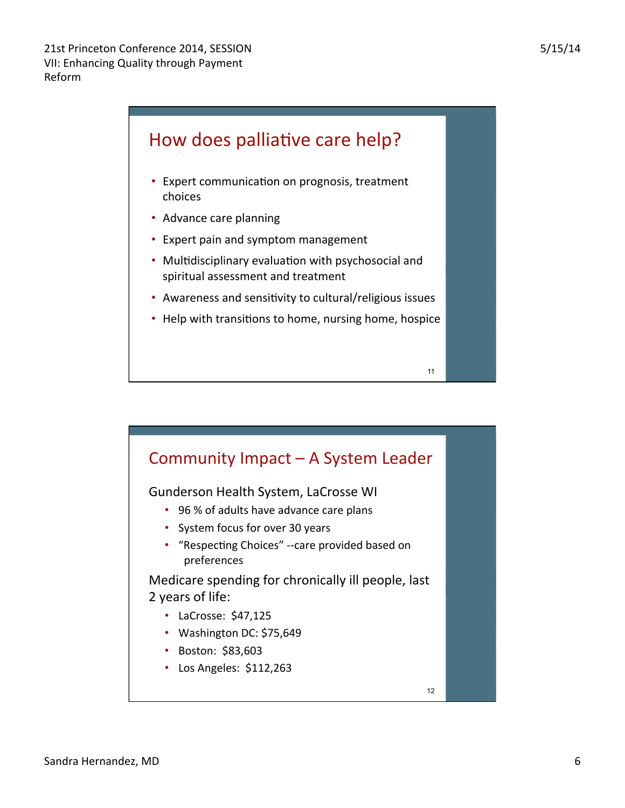

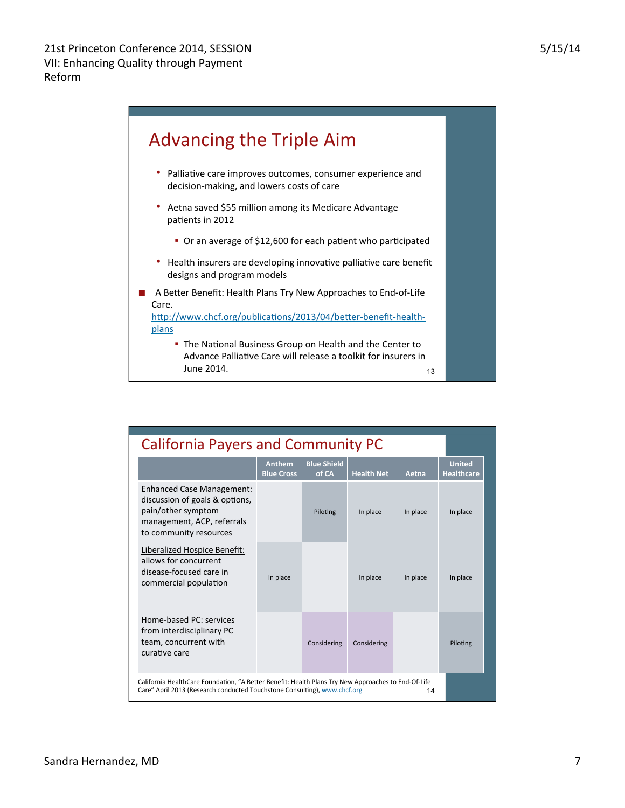

| <b>California Payers and Community PC</b>                                                                                                                                              |                                    |                             |                   |          |                                    |
|----------------------------------------------------------------------------------------------------------------------------------------------------------------------------------------|------------------------------------|-----------------------------|-------------------|----------|------------------------------------|
|                                                                                                                                                                                        | <b>Anthem</b><br><b>Blue Cross</b> | <b>Blue Shield</b><br>of CA | <b>Health Net</b> | Aetna    | <b>United</b><br><b>Healthcare</b> |
| <b>Enhanced Case Management:</b><br>discussion of goals & options,<br>pain/other symptom<br>management, ACP, referrals<br>to community resources                                       |                                    | Piloting                    | In place          | In place | In place                           |
| Liberalized Hospice Benefit:<br>allows for concurrent<br>disease-focused care in<br>commercial population                                                                              | In place                           |                             | In place          | In place | In place                           |
| Home-based PC: services<br>from interdisciplinary PC<br>team, concurrent with<br>curative care                                                                                         |                                    | Considering                 | Considering       |          | Piloting                           |
| California HealthCare Foundation, "A Better Benefit: Health Plans Try New Approaches to End-Of-Life<br>Care" April 2013 (Research conducted Touchstone Consulting), www.chcf.org<br>14 |                                    |                             |                   |          |                                    |